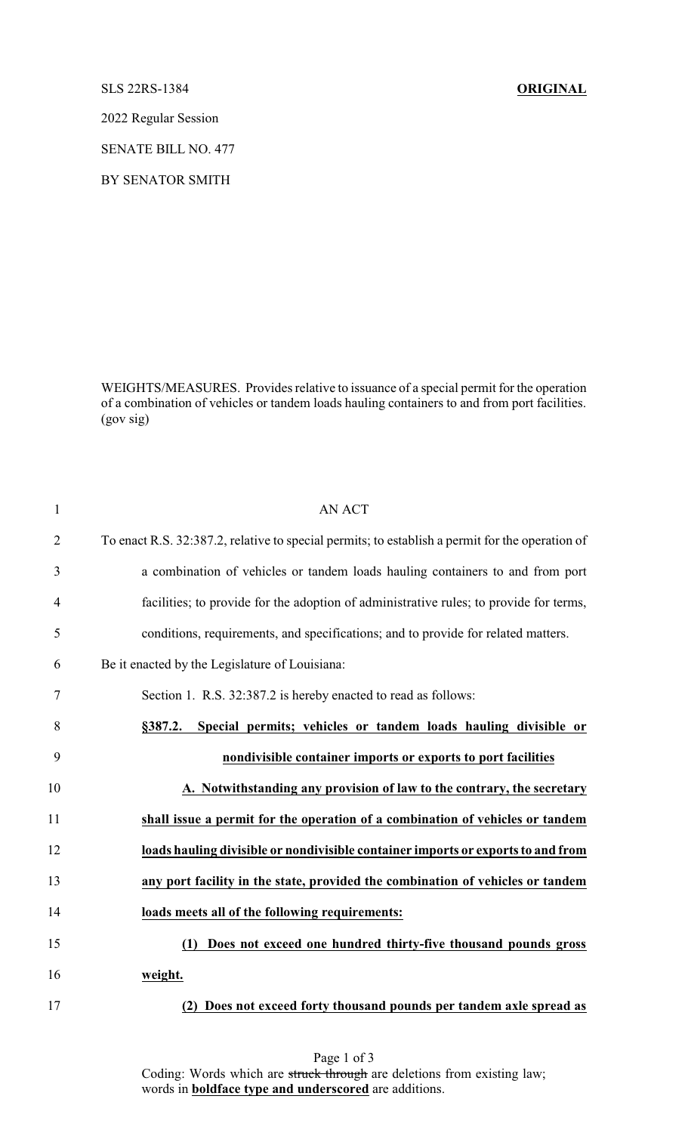## SLS 22RS-1384 **ORIGINAL**

2022 Regular Session

SENATE BILL NO. 477

BY SENATOR SMITH

WEIGHTS/MEASURES. Provides relative to issuance of a special permit for the operation of a combination of vehicles or tandem loads hauling containers to and from port facilities. (gov sig)

| $\mathbf{1}$   | <b>AN ACT</b>                                                                                   |
|----------------|-------------------------------------------------------------------------------------------------|
| $\overline{2}$ | To enact R.S. 32:387.2, relative to special permits; to establish a permit for the operation of |
| 3              | a combination of vehicles or tandem loads hauling containers to and from port                   |
| 4              | facilities; to provide for the adoption of administrative rules; to provide for terms,          |
| 5              | conditions, requirements, and specifications; and to provide for related matters.               |
| 6              | Be it enacted by the Legislature of Louisiana:                                                  |
| 7              | Section 1. R.S. 32:387.2 is hereby enacted to read as follows:                                  |
| 8              | Special permits; vehicles or tandem loads hauling divisible or<br>§387.2.                       |
| 9              | nondivisible container imports or exports to port facilities                                    |
| 10             | A. Notwithstanding any provision of law to the contrary, the secretary                          |
| 11             | shall issue a permit for the operation of a combination of vehicles or tandem                   |
| 12             | loads hauling divisible or nondivisible container imports or exports to and from                |
| 13             | any port facility in the state, provided the combination of vehicles or tandem                  |
| 14             | loads meets all of the following requirements:                                                  |
| 15             | Does not exceed one hundred thirty-five thousand pounds gross<br>(1)                            |
| 16             | weight.                                                                                         |
| 17             | (2) Does not exceed forty thousand pounds per tandem axle spread as                             |

Page 1 of 3 Coding: Words which are struck through are deletions from existing law; words in **boldface type and underscored** are additions.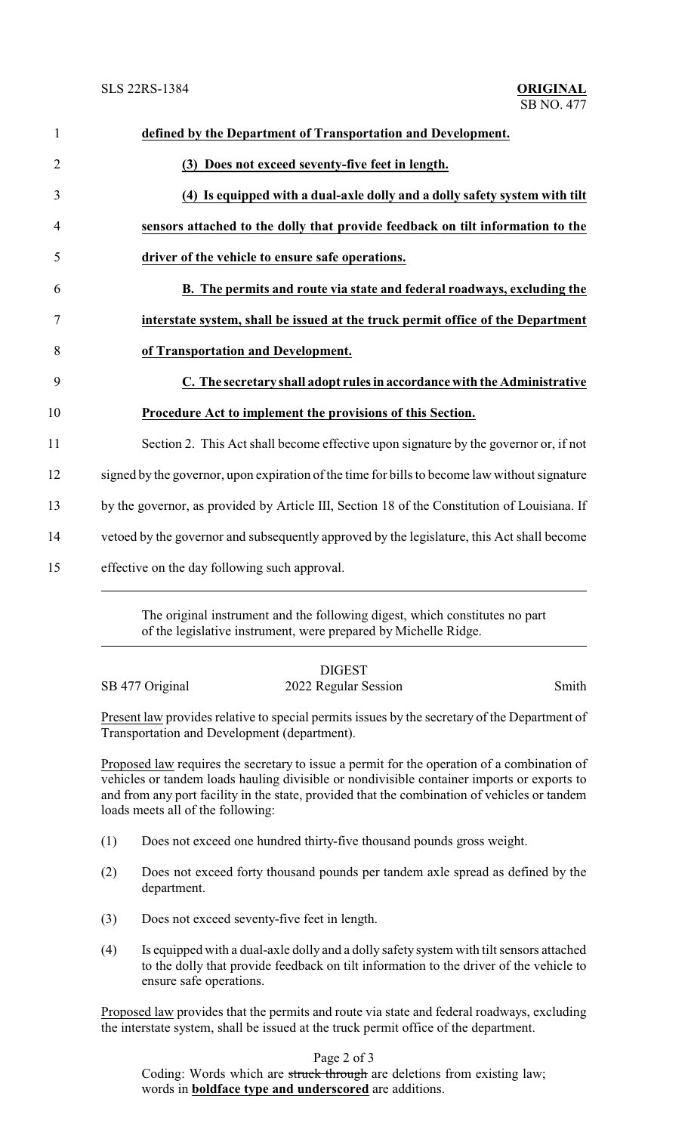| $\mathbf{1}$   | defined by the Department of Transportation and Development.                                  |
|----------------|-----------------------------------------------------------------------------------------------|
| $\overline{2}$ | (3) Does not exceed seventy-five feet in length.                                              |
| 3              | (4) Is equipped with a dual-axle dolly and a dolly safety system with tilt                    |
| 4              | sensors attached to the dolly that provide feedback on tilt information to the                |
| 5              | driver of the vehicle to ensure safe operations.                                              |
| 6              | B. The permits and route via state and federal roadways, excluding the                        |
| 7              | interstate system, shall be issued at the truck permit office of the Department               |
| 8              | of Transportation and Development.                                                            |
| 9              | C. The secretary shall adopt rules in accordance with the Administrative                      |
| 10             | <u>Procedure Act to implement the provisions of this Section.</u>                             |
| 11             | Section 2. This Act shall become effective upon signature by the governor or, if not          |
| 12             | signed by the governor, upon expiration of the time for bills to become law without signature |
| 13             | by the governor, as provided by Article III, Section 18 of the Constitution of Louisiana. If  |
| 14             | vetoed by the governor and subsequently approved by the legislature, this Act shall become    |
| 15             | effective on the day following such approval.                                                 |

The original instrument and the following digest, which constitutes no part of the legislative instrument, were prepared by Michelle Ridge.

|                 | <b>DIGEST</b>        |       |
|-----------------|----------------------|-------|
| SB 477 Original | 2022 Regular Session | Smith |

Present law provides relative to special permits issues by the secretary of the Department of Transportation and Development (department).

Proposed law requires the secretary to issue a permit for the operation of a combination of vehicles or tandem loads hauling divisible or nondivisible container imports or exports to and from any port facility in the state, provided that the combination of vehicles or tandem loads meets all of the following:

- (1) Does not exceed one hundred thirty-five thousand pounds gross weight.
- (2) Does not exceed forty thousand pounds per tandem axle spread as defined by the department.
- (3) Does not exceed seventy-five feet in length.
- (4) Is equipped with a dual-axle dolly and a dolly safety system with tilt sensors attached to the dolly that provide feedback on tilt information to the driver of the vehicle to ensure safe operations.

Proposed law provides that the permits and route via state and federal roadways, excluding the interstate system, shall be issued at the truck permit office of the department.

Page 2 of 3

Coding: Words which are struck through are deletions from existing law; words in **boldface type and underscored** are additions.